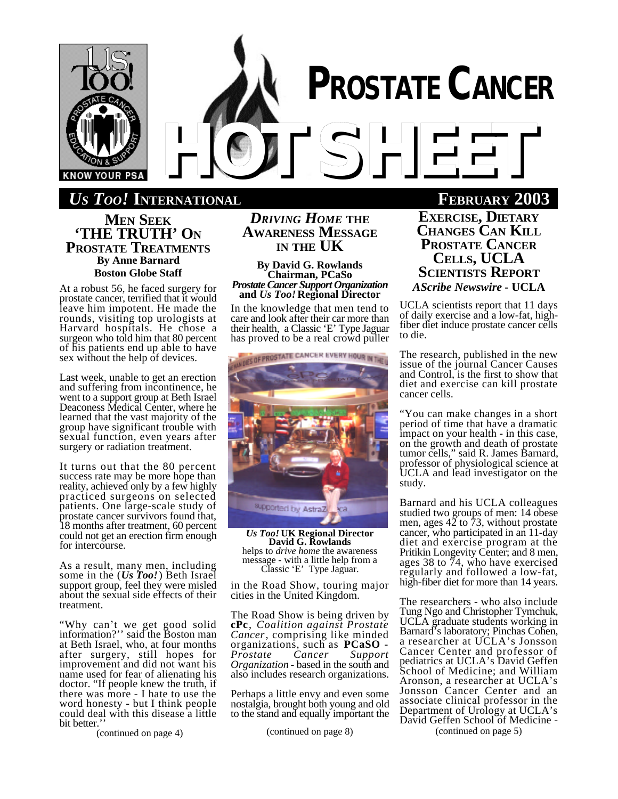

# **PROSTATE CANCER** *HOTSHEET*

**EXAMPLE 1000 INTERNATIONAL FEBRUARY** 

**MEN SEEK 'THE TRUTH' ON PROSTATE TREATMENTS By Anne Barnard Boston Globe Staff**

At a robust 56, he faced surgery for prostate cancer, terrified that it would leave him impotent. He made the rounds, visiting top urologists at Harvard hospitals. He chose a surgeon who told him that 80 percent of his patients end up able to have sex without the help of devices.

Last week, unable to get an erection and suffering from incontinence, he went to a support group at Beth Israel Deaconess Medical Center, where he learned that the vast majority of the group have significant trouble with sexual function, even years after surgery or radiation treatment.

It turns out that the 80 percent success rate may be more hope than reality, achieved only by a few highly practiced surgeons on selected patients. One large-scale study of prostate cancer survivors found that, 18 months after treatment, 60 percent could not get an erection firm enough for intercourse.

As a result, many men, including some in the (*Us Too!*) Beth Israel support group, feel they were misled about the sexual side effects of their treatment.

"Why can't we get good solid information?'' said the Boston man at Beth Israel, who, at four months after surgery, still hopes for improvement and did not want his name used for fear of alienating his doctor. "If people knew the truth, if there was more - I hate to use the word honesty - but I think people could deal with this disease a little bit better.

(continued on page 4)

*DRIVING HOME* **THE AWARENESS MESSAGE IN THE UK**

**By David G. Rowlands Chairman, PCaSo** *Prostate Cancer Support Organization* **and** *Us Too!* **Regional Director**

In the knowledge that men tend to care and look after their car more than their health, a Classic 'E' Type Jaguar has proved to be a real crowd puller



*Us Too!* **UK Regional Director David G. Rowlands** helps to *drive home* the awareness message - with a little help from a Classic 'E' Type Jaguar.

in the Road Show, touring major cities in the United Kingdom.

The Road Show is being driven by **cPc**, *Coalition against Prostate Cancer*, comprising like minded organizations, such as **PCaSO** - *Prostate Cancer Support Organization* - based in the south and also includes research organizations.

Perhaps a little envy and even some nostalgia, brought both young and old to the stand and equally important the

(continued on page 8)

**EXERCISE, DIETARY CHANGES CAN KILL PROSTATE CANCER CELLS, UCLA SCIENTISTS REPORT** *AScribe Newswire* **- UCLA**

UCLA scientists report that 11 days of daily exercise and a low-fat, highfiber diet induce prostate cancer cells to die.

The research, published in the new issue of the journal Cancer Causes and Control, is the first to show that diet and exercise can kill prostate cancer cells.

"You can make changes in a short period of time that have a dramatic impact on your health - in this case, on the growth and death of prostate tumor cells," said R. James Barnard, professor of physiological science at UCLA and lead investigator on the study.

Barnard and his UCLA colleagues studied two groups of men: 14 obese men, ages  $4\overline{2}$  to 73, without prostate cancer, who participated in an 11-day diet and exercise program at the Pritikin Longevity Center; and 8 men, ages 38 to 74, who have exercised regularly and followed a low-fat, high-fiber diet for more than 14 years.

The researchers - who also include Tung Ngo and Christopher Tymchuk, UCLA graduate students working in Barnard's laboratory; Pinchas Cohen, a researcher at UCLA's Jonsson Cancer Center and professor of pediatrics at UCLA's David Geffen School of Medicine; and William Aronson, a researcher at UCLA's Jonsson Cancer Center and an associate clinical professor in the Department of Urology at UCLA's David Geffen School of Medicine - (continued on page 5)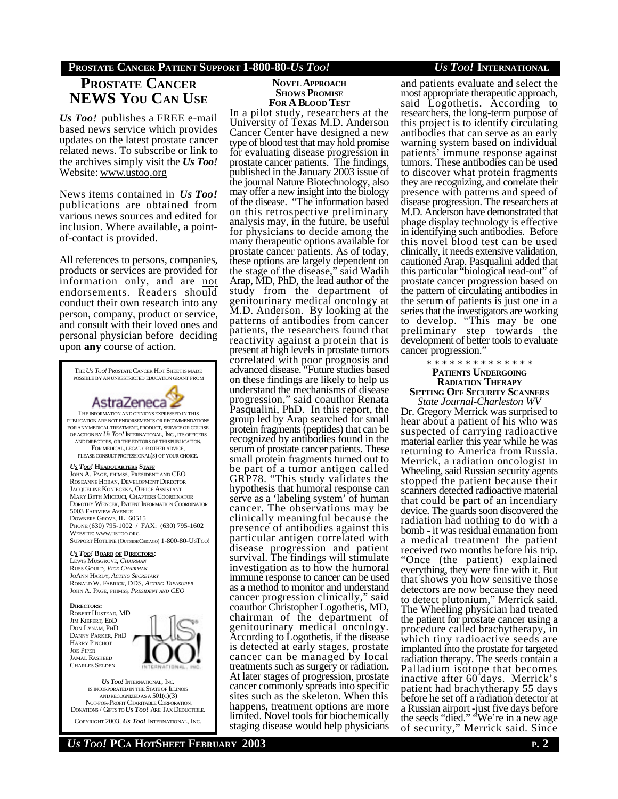## **PROSTATE CANCER PATIENT SUPPORT 1-800-80-***US TOO! US TOO!* **INTERNATIONAL**

# **PROSTATE CANCER NEWS YOU CAN USE**

*Us Too!* publishes a FREE e-mail based news service which provides updates on the latest prostate cancer related news. To subscribe or link to the archives simply visit the *Us Too!* Website: www.ustoo.org

News items contained in *Us Too!* publications are obtained from various news sources and edited for inclusion. Where available, a pointof-contact is provided.

All references to persons, companies, products or services are provided for information only, and are not endorsements. Readers should conduct their own research into any person, company, product or service, and consult with their loved ones and personal physician before deciding upon **any** course of action.



ANDRECOGNIZED AS A 501(C)(3) NOT-FOR-PROFIT CHARITABLE CORPORATION. DONATIONS / GIFTSTO *US TOO!* ARE TAX DEDUCTIBLE. COPYRIGHT 2003, *US TOO!* INTERNATIONAL, INC.

#### **NOVEL APPROACH SHOWS PROMISE FOR A BLOOD TEST**

In a pilot study, researchers at the University of Texas M.D. Anderson Cancer Center have designed a new type of blood test that may hold promise for evaluating disease progression in prostate cancer patients. The findings, published in the January 2003 issue of the journal Nature Biotechnology, also may offer a new insight into the biology of the disease. "The information based on this retrospective preliminary analysis may, in the future, be useful for physicians to decide among the many therapeutic options available for prostate cancer patients. As of today, these options are largely dependent on the stage of the disease," said Wadih Arap, MD, PhD, the lead author of the study from the department of genitourinary medical oncology at M.D. Anderson. By looking at the patterns of antibodies from cancer patients, the researchers found that reactivity against a protein that is present at high levels in prostate tumors correlated with poor prognosis and advanced disease. "Future studies based on these findings are likely to help us understand the mechanisms of disease progression," said coauthor Renata Pasqualini, PhD. In this report, the group led by Arap searched for small protein fragments (peptides) that can be recognized by antibodies found in the serum of prostate cancer patients. These small protein fragments turned out to be part of a tumor antigen called GRP78. "This study validates the hypothesis that humoral response can serve as a 'labeling system' of human cancer. The observations may be clinically meaningful because the presence of antibodies against this particular antigen correlated with disease progression and patient survival. The findings will stimulate investigation as to how the humoral immune response to cancer can be used as a method to monitor and understand cancer progression clinically," said coauthor Christopher Logothetis, MD, chairman of the department of genitourinary medical oncology. According to Logothetis, if the disease is detected at early stages, prostate cancer can be managed by local treatments such as surgery or radiation. At later stages of progression, prostate cancer commonly spreads into specific sites such as the skeleton. When this happens, treatment options are more limited. Novel tools for biochemically staging disease would help physicians

and patients evaluate and select the most appropriate therapeutic approach, said Logothetis. According to researchers, the long-term purpose of this project is to identify circulating antibodies that can serve as an early warning system based on individual patients' immune response against tumors. These antibodies can be used to discover what protein fragments they are recognizing, and correlate their presence with patterns and speed of disease progression. The researchers at M.D. Anderson have demonstrated that phage display technology is effective in identifying such antibodies. Before this novel blood test can be used clinically, it needs extensive validation, cautioned Arap. Pasqualini added that this particular "biological read-out" of prostate cancer progression based on the pattern of circulating antibodies in the serum of patients is just one in a series that the investigators are working to develop. "This may be one preliminary step towards the development of better tools to evaluate cancer progression.'

\* \* \* \* \* \* \* \* \* \* \* \* \* \* **PATIENTS UNDERGOING RADIATION THERAPY SETTING OFF SECURITY SCANNERS**

*State Journal-Charleston WV* Dr. Gregory Merrick was surprised to hear about a patient of his who was suspected of carrying radioactive material earlier this year while he was returning to America from Russia. Merrick, a radiation oncologist in Wheeling, said Russian security agents stopped the patient because their scanners detected radioactive material that could be part of an incendiary device. The guards soon discovered the radiation had nothing to do with a bomb - it was residual emanation from a medical treatment the patient received two months before his trip. "Once (the patient) explained everything, they were fine with it. But that shows you how sensitive those detectors are now because they need to detect plutonium," Merrick said. The Wheeling physician had treated the patient for prostate cancer using a procedure called brachytherapy, in which tiny radioactive seeds are implanted into the prostate for targeted radiation therapy. The seeds contain a Palladium isotope that becomes inactive after 60 days. Merrick's patient had brachytherapy 55 days before he set off a radiation detector at a Russian airport -just five days before the seeds "died." "We're in a new age of security," Merrick said. Since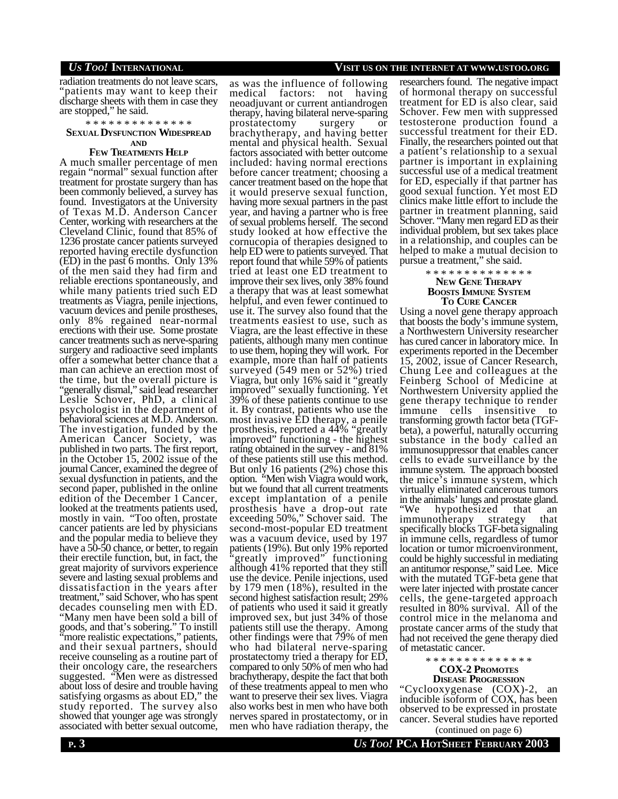radiation treatments do not leave scars, "patients may want to keep their discharge sheets with them in case they are stopped," he said.

\* \* \* \* \* \* \* \* \* \* \* \* \* \*

#### **SEXUAL DYSFUNCTION WIDESPREAD AND**

## **FEW TREATMENTS HELP**

A much smaller percentage of men regain "normal" sexual function after treatment for prostate surgery than has been commonly believed, a survey has found. Investigators at the University of Texas M.D. Anderson Cancer Center, working with researchers at the Cleveland Clinic, found that 85% of 1236 prostate cancer patients surveyed reported having erectile dysfunction (ED) in the past 6 months. Only 13% of the men said they had firm and reliable erections spontaneously, and while many patients tried such ED treatments as Viagra, penile injections, vacuum devices and penile prostheses, only 8% regained near-normal erections with their use. Some prostate cancer treatments such as nerve-sparing surgery and radioactive seed implants offer a somewhat better chance that a man can achieve an erection most of the time, but the overall picture is "generally dismal," said lead researcher Leslie Schover, PhD, a clinical psychologist in the department of behavioral sciences at M.D. Anderson. The investigation, funded by the American Cancer Society, was published in two parts. The first report, in the October 15, 2002 issue of the journal Cancer, examined the degree of sexual dysfunction in patients, and the second paper, published in the online edition of the December 1 Cancer, looked at the treatments patients used, mostly in vain. "Too often, prostate cancer patients are led by physicians and the popular media to believe they have a 50-50 chance, or better, to regain their erectile function, but, in fact, the great majority of survivors experience severe and lasting sexual problems and dissatisfaction in the years after treatment," said Schover, who has spent decades counseling men with ED. "Many men have been sold a bill of goods, and that's sobering." To instill "more realistic expectations," patients,

and their sexual partners, should receive counseling as a routine part of their oncology care, the researchers suggested. "Men were as distressed about loss of desire and trouble having satisfying orgasms as about ED," the study reported. The survey also showed that younger age was strongly associated with better sexual outcome,

medical factors: not having neoadjuvant or current antiandrogen therapy, having bilateral nerve-sparing prostatectomy surgery or brachytherapy, and having better mental and physical health. Sexual factors associated with better outcome included: having normal erections before cancer treatment; choosing a cancer treatment based on the hope that it would preserve sexual function, having more sexual partners in the past year, and having a partner who is free of sexual problems herself. The second study looked at how effective the cornucopia of therapies designed to help ED were to patients surveyed. That report found that while 59% of patients tried at least one ED treatment to improve their sex lives, only 38% found a therapy that was at least somewhat helpful, and even fewer continued to use it. The survey also found that the treatments easiest to use, such as Viagra, are the least effective in these patients, although many men continue to use them, hoping they will work. For example, more than half of patients surveyed (549 men or 52%) tried Viagra, but only 16% said it "greatly improved" sexually functioning. Yet 39% of these patients continue to use it. By contrast, patients who use the most invasive ED therapy, a penile prosthesis, reported a 44% "greatly improved" functioning - the highest rating obtained in the survey - and 81% of these patients still use this method. But only 16 patients (2%) chose this option. "Men wish Viagra would work, but we found that all current treatments except implantation of a penile prosthesis have a drop-out rate exceeding 50%," Schover said. The second-most-popular ED treatment was a vacuum device, used by 197 patients (19%). But only 19% reported "greatly improved" functioning although 41% reported that they still use the device. Penile injections, used by 179 men (18%), resulted in the second highest satisfaction result; 29% of patients who used it said it greatly improved sex, but just 34% of those patients still use the therapy. Among other findings were that 79% of men who had bilateral nerve-sparing prostatectomy tried a therapy for ED, compared to only 50% of men who had brachytherapy, despite the fact that both of these treatments appeal to men who want to preserve their sex lives. Viagra also works best in men who have both nerves spared in prostatectomy, or in men who have radiation therapy, the

as was the influence of following

## *US TOO!* **INTERNATIONAL VISIT US ON THE INTERNET AT WWW.USTOO.ORG**

researchers found. The negative impact of hormonal therapy on successful treatment for ED is also clear, said Schover. Few men with suppressed testosterone production found a successful treatment for their ED. Finally, the researchers pointed out that a patient's relationship to a sexual partner is important in explaining successful use of a medical treatment for ED, especially if that partner has good sexual function. Yet most ED clinics make little effort to include the partner in treatment planning, said Schover. "Many men regard ED as their individual problem, but sex takes place in a relationship, and couples can be helped to make a mutual decision to pursue a treatment," she said.

#### \* \* \* \* \* \* \* \* \* \* \* \* \* \* **NEW GENE THERAPY BOOSTS IMMUNE SYSTEM TO CURE CANCER**

Using a novel gene therapy approach that boosts the body's immune system, a Northwestern University researcher has cured cancer in laboratory mice. In experiments reported in the December 15, 2002, issue of Cancer Research, Chung Lee and colleagues at the Feinberg School of Medicine at Northwestern University applied the gene therapy technique to render immune cells insensitive to transforming growth factor beta (TGFbeta), a powerful, naturally occurring substance in the body called an immunosuppressor that enables cancer cells to evade surveillance by the immune system. The approach boosted the mice's immune system, which virtually eliminated cancerous tumors in the animals' lungs and prostate gland.<br>"We hypothesized that an hypothesized that an<br>otherapy strategy that immunotherapy strategy that specifically blocks TGF-beta signaling in immune cells, regardless of tumor location or tumor microenvironment, could be highly successful in mediating an antitumor response," said Lee. Mice with the mutated TGF-beta gene that were later injected with prostate cancer cells, the gene-targeted approach resulted in 80% survival. All of the control mice in the melanoma and prostate cancer arms of the study that had not received the gene therapy died of metastatic cancer.

> \* \* \* \* \* \* \* \* \* \* \* \* \* \* **COX-2 PROMOTES DISEASE PROGRESSION**

"Cyclooxygenase (COX)-2, an inducible isoform of COX, has been observed to be expressed in prostate cancer. Several studies have reported (continued on page 6)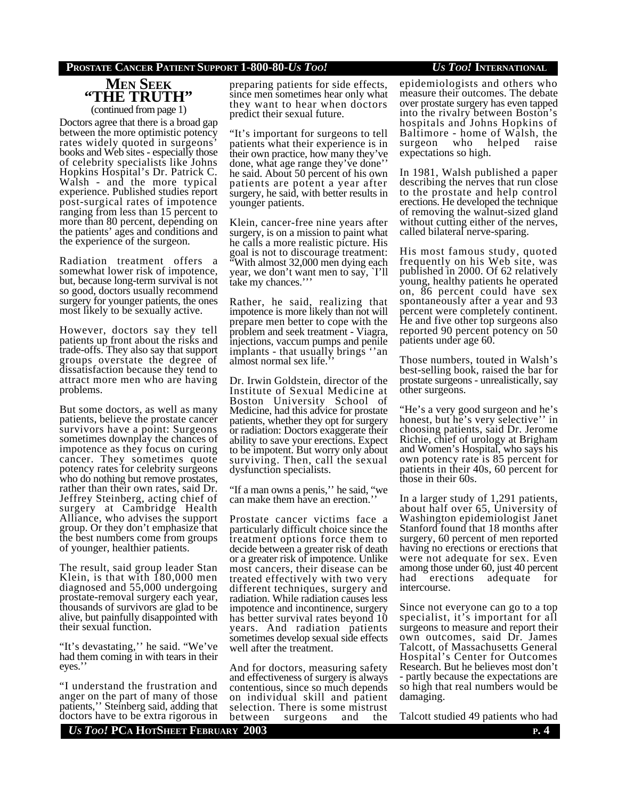## **PROSTATE CANCER PATIENT SUPPORT 1-800-80-***US TOO! US TOO!* **INTERNATIONAL**

# **MEN SEEK "THE TRUTH"** (continued from page 1)

Doctors agree that there is a broad gap between the more optimistic potency rates widely quoted in surgeons' books and Web sites - especially those of celebrity specialists like Johns Hopkins Hospital's Dr. Patrick C. Walsh - and the more typical experience. Published studies report post-surgical rates of impotence ranging from less than 15 percent to more than 80 percent, depending on the patients' ages and conditions and the experience of the surgeon.

Radiation treatment offers a somewhat lower risk of impotence, but, because long-term survival is not so good, doctors usually recommend surgery for younger patients, the ones most likely to be sexually active.

However, doctors say they tell patients up front about the risks and trade-offs. They also say that support groups overstate the degree of dissatisfaction because they tend to attract more men who are having problems.

But some doctors, as well as many patients, believe the prostate cancer survivors have a point: Surgeons sometimes downplay the chances of impotence as they focus on curing cancer. They sometimes quote potency rates for celebrity surgeons who do nothing but remove prostates, rather than their own rates, said Dr. Jeffrey Steinberg, acting chief of surgery at Cambridge Health Alliance, who advises the support group. Or they don't emphasize that the best numbers come from groups of younger, healthier patients.

The result, said group leader Stan Klein, is that with 180,000 men diagnosed and 55,000 undergoing prostate-removal surgery each year, thousands of survivors are glad to be alive, but painfully disappointed with their sexual function.

"It's devastating,'' he said. "We've had them coming in with tears in their eyes.''

"I understand the frustration and anger on the part of many of those patients,'' Steinberg said, adding that doctors have to be extra rigorous in preparing patients for side effects, since men sometimes hear only what they want to hear when doctors predict their sexual future.

"It's important for surgeons to tell patients what their experience is in their own practice, how many they've done, what age range they've done'' he said. About 50 percent of his own patients are potent a year after surgery, he said, with better results in younger patients.

Klein, cancer-free nine years after surgery, is on a mission to paint what he calls a more realistic picture. His goal is not to discourage treatment: "With almost 32,000 men dying each year, we don't want men to say, `I'll take my chances.'''

Rather, he said, realizing that impotence is more likely than not will prepare men better to cope with the problem and seek treatment - Viagra, injections, vaccum pumps and penile implants - that usually brings ''an almost normal sex life.''

Dr. Irwin Goldstein, director of the Institute of Sexual Medicine at Boston University School of Medicine, had this advice for prostate patients, whether they opt for surgery or radiation: Doctors exaggerate their ability to save your erections. Expect to be impotent. But worry only about surviving. Then, call the sexual dysfunction specialists.

"If a man owns a penis,'' he said, "we can make them have an erection.

Prostate cancer victims face a particularly difficult choice since the treatment options force them to decide between a greater risk of death or a greater risk of impotence. Unlike most cancers, their disease can be treated effectively with two very different techniques, surgery and radiation. While radiation causes less impotence and incontinence, surgery has better survival rates beyond 10 years. And radiation patients sometimes develop sexual side effects well after the treatment.

And for doctors, measuring safety and effectiveness of surgery is always contentious, since so much depends on individual skill and patient selection. There is some mistrust<br>between surgeons and the between surgeons and the

epidemiologists and others who measure their outcomes. The debate over prostate surgery has even tapped into the rivalry between Boston's hospitals and Johns Hopkins of Baltimore - home of Walsh, the<br>surgeon who helped raise who helped raise expectations so high.

In 1981, Walsh published a paper describing the nerves that run close to the prostate and help control erections. He developed the technique of removing the walnut-sized gland without cutting either of the nerves, called bilateral nerve-sparing.

His most famous study, quoted frequently on his Web site, was published in 2000. Of 62 relatively young, healthy patients he operated on, 86 percent could have sex spontaneously after a year and 93 percent were completely continent. He and five other top surgeons also reported 90 percent potency on 50 patients under age 60.

Those numbers, touted in Walsh's best-selling book, raised the bar for prostate surgeons - unrealistically, say other surgeons.

"He's a very good surgeon and he's honest, but he's very selective'' in choosing patients, said Dr. Jerome Richie, chief of urology at Brigham and Women's Hospital, who says his own potency rate is 85 percent for patients in their 40s, 60 percent for those in their 60s.

In a larger study of 1,291 patients, about half over 65, University of Washington epidemiologist Janet Stanford found that 18 months after surgery, 60 percent of men reported having no erections or erections that were not adequate for sex. Even among those under 60, just 40 percent<br>had erections adequate for erections adequate for intercourse.

Since not everyone can go to a top specialist, it's important for all surgeons to measure and report their own outcomes, said Dr. James Talcott, of Massachusetts General Hospital's Center for Outcomes Research. But he believes most don't - partly because the expectations are so high that real numbers would be damaging.

Talcott studied 49 patients who had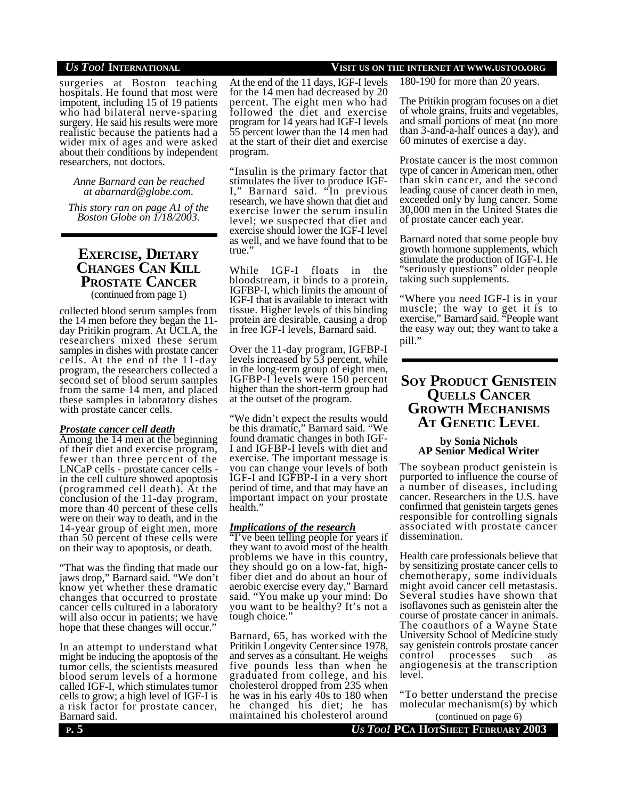surgeries at Boston teaching hospitals. He found that most were impotent, including 15 of 19 patients who had bilateral nerve-sparing surgery. He said his results were more realistic because the patients had a wider mix of ages and were asked about their conditions by independent researchers, not doctors.

*Anne Barnard can be reached at abarnard@globe.com.*

*This story ran on page A1 of the Boston Globe on 1/18/2003.*

# **EXERCISE, DIETARY CHANGES CAN KILL PROSTATE CANCER** (continued from page 1)

collected blood serum samples from the 14 men before they began the 11 day Pritikin program. At UCLA, the researchers mixed these serum samples in dishes with prostate cancer cells. At the end of the 11-day program, the researchers collected a second set of blood serum samples from the same 14 men, and placed these samples in laboratory dishes with prostate cancer cells.

#### *Prostate cancer cell death*

Among the 14 men at the beginning of their diet and exercise program, fewer than three percent of the LNCaP cells - prostate cancer cells in the cell culture showed apoptosis (programmed cell death). At the conclusion of the 11-day program, more than 40 percent of these cells were on their way to death, and in the 14-year group of eight men, more than 50 percent of these cells were on their way to apoptosis, or death.

"That was the finding that made our jaws drop," Barnard said. "We don't know yet whether these dramatic changes that occurred to prostate cancer cells cultured in a laboratory will also occur in patients; we have hope that these changes will occur."

In an attempt to understand what might be inducing the apoptosis of the tumor cells, the scientists measured blood serum levels of a hormone called IGF-I, which stimulates tumor cells to grow; a high level of IGF-I is a risk factor for prostate cancer, Barnard said.

At the end of the 11 days, IGF-I levels for the 14 men had decreased by 20 percent. The eight men who had followed the diet and exercise program for 14 years had IGF-I levels 55 percent lower than the 14 men had at the start of their diet and exercise program.

"Insulin is the primary factor that stimulates the liver to produce IGF-I," Barnard said. "In previous research, we have shown that diet and exercise lower the serum insulin level; we suspected that diet and exercise should lower the IGF-I level as well, and we have found that to be true.'

While IGF-I floats in the bloodstream, it binds to a protein, IGFBP-I, which limits the amount of IGF-I that is available to interact with tissue. Higher levels of this binding protein are desirable, causing a drop in free IGF-I levels, Barnard said.

Over the 11-day program, IGFBP-I levels increased by 53 percent, while in the long-term group of eight men, IGFBP-I levels were 150 percent higher than the short-term group had at the outset of the program.

"We didn't expect the results would be this dramatic," Barnard said. "We found dramatic changes in both IGF-I and IGFBP-I levels with diet and exercise. The important message is you can change your levels of both IGF-I and IGFBP-I in a very short period of time, and that may have an important impact on your prostate health."

## *Implications of the research*

"I've been telling people for years if they want to avoid most of the health problems we have in this country, they should go on a low-fat, highfiber diet and do about an hour of aerobic exercise every day," Barnard said. "You make up your mind: Do you want to be healthy? It's not a tough choice."

Barnard, 65, has worked with the Pritikin Longevity Center since 1978, and serves as a consultant. He weighs five pounds less than when he graduated from college, and his cholesterol dropped from 235 when he was in his early 40s to 180 when he changed his diet; he has maintained his cholesterol around

## *US TOO!* **INTERNATIONAL VISIT US ON THE INTERNET AT WWW.USTOO.ORG**

180-190 for more than 20 years.

The Pritikin program focuses on a diet of whole grains, fruits and vegetables, and small portions of meat (no more than 3-and-a-half ounces a day), and 60 minutes of exercise a day.

Prostate cancer is the most common type of cancer in American men, other than skin cancer, and the second leading cause of cancer death in men, exceeded only by lung cancer. Some 30,000 men in the United States die of prostate cancer each year.

Barnard noted that some people buy growth hormone supplements, which stimulate the production of IGF-I. He "seriously questions" older people taking such supplements.

"Where you need IGF-I is in your muscle; the way to get it is to exercise," Barnard said. "People want the easy way out; they want to take a pill."

# **SOY PRODUCT GENISTEIN QUELLS CANCER GROWTH MECHANISMS AT GENETIC LEVEL**

## **by Sonia Nichols AP Senior Medical Writer**

The soybean product genistein is purported to influence the course of a number of diseases, including cancer. Researchers in the U.S. have confirmed that genistein targets genes responsible for controlling signals associated with prostate cancer dissemination.

Health care professionals believe that by sensitizing prostate cancer cells to chemotherapy, some individuals might avoid cancer cell metastasis. Several studies have shown that isoflavones such as genistein alter the course of prostate cancer in animals. The coauthors of a Wayne State University School of Medicine study say genistein controls prostate cancer<br>control processes such as processes such as angiogenesis at the transcription level.

"To better understand the precise molecular mechanism $(s)$  by which (continued on page 6)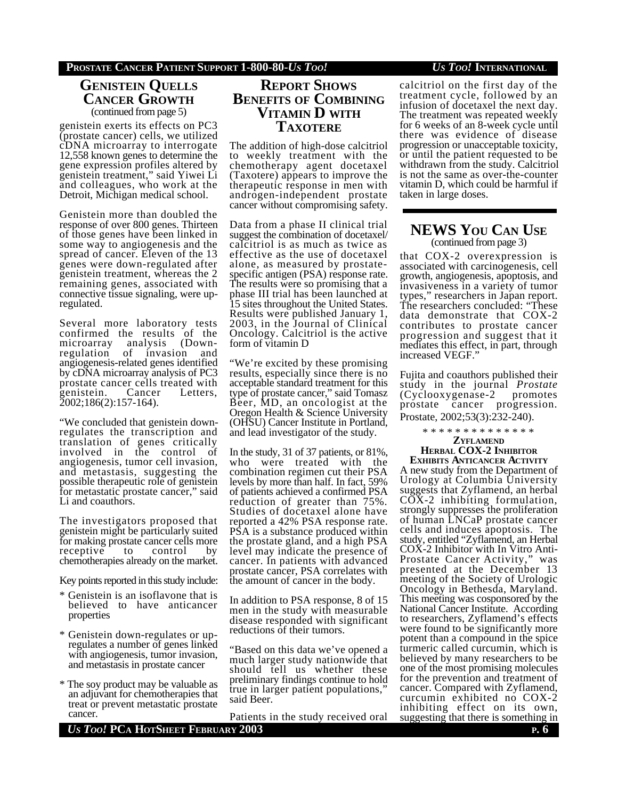# **GENISTEIN QUELLS CANCER GROWTH** (continued from page 5)

genistein exerts its effects on PC3 (prostate cancer) cells, we utilized cDNA microarray to interrogate 12,558 known genes to determine the gene expression profiles altered by genistein treatment," said Yiwei Li and colleagues, who work at the Detroit, Michigan medical school.

Genistein more than doubled the response of over 800 genes. Thirteen of those genes have been linked in some way to angiogenesis and the spread of cancer. Eleven of the 13 genes were down-regulated after genistein treatment, whereas the 2 remaining genes, associated with connective tissue signaling, were upregulated.

Several more laboratory tests confirmed the results of the<br>microarray analysis (Downmicroarray analysis (D<br>regulation of invasion regulation of invasion and angiogenesis-related genes identified by cDNA microarray analysis of PC3 prostate cancer cells treated with genistein. Cancer Letters, 2002;186(2):157-164).

"We concluded that genistein downregulates the transcription and translation of genes critically involved in the control of angiogenesis, tumor cell invasion, and metastasis, suggesting the possible therapeutic role of genistein for metastatic prostate cancer," said Li and coauthors.

The investigators proposed that genistein might be particularly suited for making prostate cancer cells more receptive to control by chemotherapies already on the market.

Key points reported in this study include:

- \* Genistein is an isoflavone that is believed to have anticancer properties
- \* Genistein down-regulates or upregulates a number of genes linked with angiogenesis, tumor invasion, and metastasis in prostate cancer
- \* The soy product may be valuable as an adjuvant for chemotherapies that treat or prevent metastatic prostate cancer.

*US TOO!* **PCA HOTSHEET FEBRUARY 2003 P. 6**

# **REPORT SHOWS BENEFITS OF COMBINING VITAMIN D WITH TAXOTERE**

The addition of high-dose calcitriol to weekly treatment with the chemotherapy agent docetaxel (Taxotere) appears to improve the therapeutic response in men with androgen-independent prostate cancer without compromising safety.

Data from a phase II clinical trial suggest the combination of docetaxel/ calcitriol is as much as twice as effective as the use of docetaxel alone, as measured by prostatespecific antigen (PSA) response rate. The results were so promising that a phase III trial has been launched at 15 sites throughout the United States. Results were published January 1, 2003, in the Journal of Clinical Oncology. Calcitriol is the active form of vitamin D

"We're excited by these promising results, especially since there is no acceptable standard treatment for this type of prostate cancer," said Tomasz Beer, MD, an oncologist at the Oregon Health & Science University (OHSU) Cancer Institute in Portland, and lead investigator of the study.

In the study, 31 of 37 patients, or 81%, who were treated with the combination regimen cut their PSA levels by more than half. In fact, 59% of patients achieved a confirmed PSA reduction of greater than 75%. Studies of docetaxel alone have reported a 42% PSA response rate. PSA is a substance produced within the prostate gland, and a high PSA level may indicate the presence of cancer. In patients with advanced prostate cancer, PSA correlates with the amount of cancer in the body.

In addition to PSA response, 8 of 15 men in the study with measurable disease responded with significant reductions of their tumors.

"Based on this data we've opened a much larger study nationwide that should tell us whether these preliminary findings continue to hold true in larger patient populations," said Beer.

Patients in the study received oral

calcitriol on the first day of the treatment cycle, followed by an infusion of docetaxel the next day. The treatment was repeated weekly for 6 weeks of an 8-week cycle until there was evidence of disease progression or unacceptable toxicity, or until the patient requested to be withdrawn from the study. Calcitriol is not the same as over-the-counter vitamin D, which could be harmful if taken in large doses.

# **NEWS YOU CAN USE** (continued from page 3)

that COX-2 overexpression is associated with carcinogenesis, cell growth, angiogenesis, apoptosis, and invasiveness in a variety of tumor types," researchers in Japan report. The researchers concluded: "These data demonstrate that COX-2 contributes to prostate cancer progression and suggest that it mediates this effect, in part, through increased VEGF."

Fujita and coauthors published their study in the journal *Prostate* (Cyclooxygenase-2 promotes cancer progression. Prostate, 2002;53(3):232-240).

\* \* \* \* \* \* \* \* \* \* \* \* \* \*

**ZYFLAMEND**

#### **HERBAL COX-2 INHIBITOR EXHIBITS ANTICANCER ACTIVITY**

A new study from the Department of Urology at Columbia University suggests that Zyflamend, an herbal COX-2 inhibiting formulation, strongly suppresses the proliferation of human LNCaP prostate cancer cells and induces apoptosis. The study, entitled "Zyflamend, an Herbal COX-2 Inhibitor with In Vitro Anti-Prostate Cancer Activity," was presented at the December 13 meeting of the Society of Urologic Oncology in Bethesda, Maryland. This meeting was cosponsored by the National Cancer Institute. According to researchers, Zyflamend's effects were found to be significantly more potent than a compound in the spice turmeric called curcumin, which is believed by many researchers to be one of the most promising molecules for the prevention and treatment of cancer. Compared with Zyflamend, curcumin exhibited no COX-2 inhibiting effect on its own, suggesting that there is something in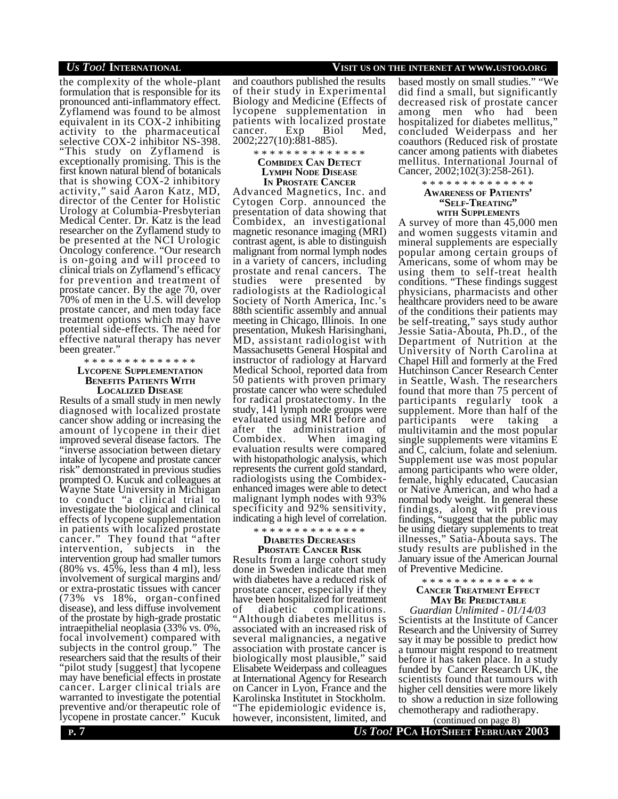the complexity of the whole-plant formulation that is responsible for its pronounced anti-inflammatory effect. Zyflamend was found to be almost equivalent in its COX-2 inhibiting activity to the pharmaceutical selective COX-2 inhibitor NS-398. "This study on Zyflamend is exceptionally promising. This is the first known natural blend of botanicals that is showing COX-2 inhibitory activity," said Aaron Katz, MD, director of the Center for Holistic Urology at Columbia-Presbyterian Medical Center. Dr. Katz is the lead researcher on the Zyflamend study to be presented at the NCI Urologic Oncology conference. "Our research is on-going and will proceed to clinical trials on Zyflamend's efficacy for prevention and treatment of prostate cancer. By the age 70, over 70% of men in the U.S. will develop prostate cancer, and men today face treatment options which may have potential side-effects. The need for effective natural therapy has never been greater."

#### \* \* \* \* \* \* \* \* \* \* \* \* \* \* **LYCOPENE SUPPLEMENTATION BENEFITS PATIENTS WITH LOCALIZED DISEASE**

Results of a small study in men newly diagnosed with localized prostate cancer show adding or increasing the amount of lycopene in their diet improved several disease factors. The "inverse association between dietary intake of lycopene and prostate cancer risk" demonstrated in previous studies prompted O. Kucuk and colleagues at Wayne State University in Michigan to conduct "a clinical trial to investigate the biological and clinical effects of lycopene supplementation in patients with localized prostate cancer." They found that "after intervention, subjects in the intervention group had smaller tumors (80% vs. 45%, less than 4 ml), less involvement of surgical margins and/ or extra-prostatic tissues with cancer (73% vs 18%, organ-confined disease), and less diffuse involvement of the prostate by high-grade prostatic intraepithelial neoplasia (33% vs. 0%, focal involvement) compared with subjects in the control group." The researchers said that the results of their "pilot study [suggest] that lycopene may have beneficial effects in prostate cancer. Larger clinical trials are warranted to investigate the potential preventive and/or therapeutic role of lycopene in prostate cancer." Kucuk

and coauthors published the results of their study in Experimental Biology and Medicine (Effects of lycopene supplementation in patients with localized prostate<br>cancer. Exp. Biol Med. cancer. 2002;227(10):881-885).

\* \* \* \* \* \* \* \* \* \* \* \* \* \*

**COMBIDEX CAN DETECT LYMPH NODE DISEASE IN PROSTATE CANCER**

Advanced Magnetics, Inc. and Cytogen Corp. announced the presentation of data showing that Combidex, an investigational magnetic resonance imaging (MRI) contrast agent, is able to distinguish malignant from normal lymph nodes in a variety of cancers, including prostate and renal cancers. The studies were presented by radiologists at the Radiological Society of North America, Inc.'s 88th scientific assembly and annual meeting in Chicago, Illinois. In one presentation, Mukesh Harisinghani, MD, assistant radiologist with Massachusetts General Hospital and instructor of radiology at Harvard Medical School, reported data from 50 patients with proven primary prostate cancer who were scheduled for radical prostatectomy. In the study, 141 lymph node groups were evaluated using MRI before and after the administration of Combidex. When imaging evaluation results were compared with histopathologic analysis, which represents the current gold standard, radiologists using the Combidexenhanced images were able to detect malignant lymph nodes with 93% specificity and 92% sensitivity, indicating a high level of correlation.

# \* \* \* \* \* \* \* \* \* \* \* \* \* \* **DIABETES DECREASES**

**PROSTATE CANCER RISK** Results from a large cohort study done in Sweden indicate that men with diabetes have a reduced risk of prostate cancer, especially if they have been hospitalized for treatment of diabetic complications. "Although diabetes mellitus is associated with an increased risk of several malignancies, a negative association with prostate cancer is biologically most plausible," said Elisabete Weiderpass and colleagues at International Agency for Research on Cancer in Lyon, France and the Karolinska Institutet in Stockholm. The epidemiologic evidence is, however, inconsistent, limited, and

# *US TOO!* **INTERNATIONAL VISIT US ON THE INTERNET AT WWW.USTOO.ORG**

based mostly on small studies." "We did find a small, but significantly decreased risk of prostate cancer among men who had been hospitalized for diabetes mellitus, concluded Weiderpass and her coauthors (Reduced risk of prostate cancer among patients with diabetes mellitus. International Journal of Cancer, 2002;102(3):258-261).

> \* \* \* \* \* \* \* \* \* \* \* \* \* \* **AWARENESS OF PATIENTS' "SELF-TREATING" WITH SUPPLEMENTS**

A survey of more than 45,000 men and women suggests vitamin and mineral supplements are especially popular among certain groups of Americans, some of whom may be using them to self-treat health conditions. "These findings suggest physicians, pharmacists and other healthcare providers need to be aware of the conditions their patients may be self-treating," says study author Jessie Satia-Abouta, Ph.D., of the Department of Nutrition at the University of North Carolina at Chapel Hill and formerly at the Fred Hutchinson Cancer Research Center in Seattle, Wash. The researchers found that more than 75 percent of participants regularly took a supplement. More than half of the participants were taking a participants were taking a multivitamin and the most popular single supplements were vitamins E and C, calcium, folate and selenium. Supplement use was most popular among participants who were older, female, highly educated, Caucasian or Native American, and who had a normal body weight. In general these findings, along with previous findings, "suggest that the public may be using dietary supplements to treat illnesses," Satia-Abouta says. The study results are published in the January issue of the American Journal of Preventive Medicine.

#### \* \* \* \* \* \* \* \* \* \* \* \* \* \* **CANCER TREATMENT EFFECT MAY BE PREDICTABLE**

*Guardian Unlimited - 01/14/03* Scientists at the Institute of Cancer Research and the University of Surrey say it may be possible to predict how a tumour might respond to treatment before it has taken place. In a study funded by Cancer Research UK, the scientists found that tumours with higher cell densities were more likely to show a reduction in size following chemotherapy and radiotherapy.

(continued on page 8)